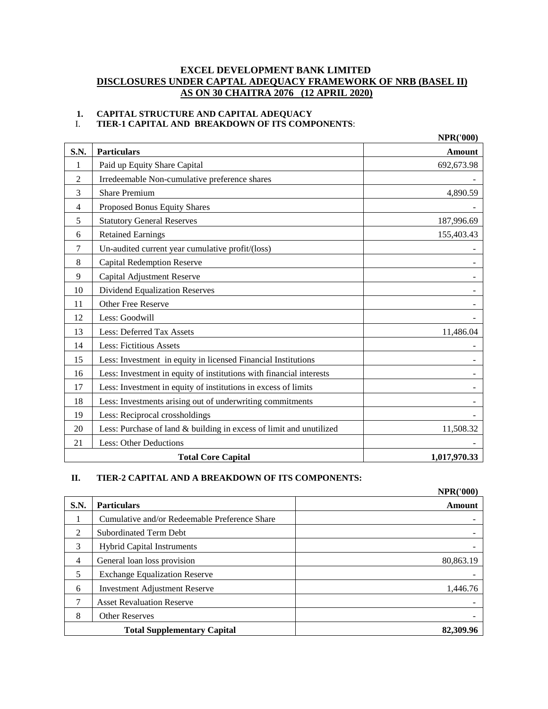# **EXCEL DEVELOPMENT BANK LIMITED DISCLOSURES UNDER CAPTAL ADEQUACY FRAMEWORK OF NRB (BASEL II) AS ON 30 CHAITRA 2076 (12 APRIL 2020)**

# **1. CAPITAL STRUCTURE AND CAPITAL ADEQUACY**

I. **TIER-1 CAPITAL AND BREAKDOWN OF ITS COMPONENTS**:

|                |                                                                     | <b>NPR('000)</b> |
|----------------|---------------------------------------------------------------------|------------------|
| S.N.           | <b>Particulars</b>                                                  | <b>Amount</b>    |
| 1              | Paid up Equity Share Capital                                        | 692,673.98       |
| 2              | Irredeemable Non-cumulative preference shares                       |                  |
| 3              | <b>Share Premium</b>                                                | 4,890.59         |
| $\overline{4}$ | Proposed Bonus Equity Shares                                        |                  |
| 5              | <b>Statutory General Reserves</b>                                   | 187,996.69       |
| 6              | <b>Retained Earnings</b>                                            | 155,403.43       |
| 7              | Un-audited current year cumulative profit/(loss)                    |                  |
| 8              | <b>Capital Redemption Reserve</b>                                   |                  |
| 9              | Capital Adjustment Reserve                                          |                  |
| 10             | <b>Dividend Equalization Reserves</b>                               |                  |
| 11             | Other Free Reserve                                                  |                  |
| 12             | Less: Goodwill                                                      |                  |
| 13             | Less: Deferred Tax Assets                                           | 11,486.04        |
| 14             | <b>Less: Fictitious Assets</b>                                      |                  |
| 15             | Less: Investment in equity in licensed Financial Institutions       |                  |
| 16             | Less: Investment in equity of institutions with financial interests |                  |
| 17             | Less: Investment in equity of institutions in excess of limits      |                  |
| 18             | Less: Investments arising out of underwriting commitments           |                  |
| 19             | Less: Reciprocal crossholdings                                      |                  |
| 20             | Less: Purchase of land & building in excess of limit and unutilized | 11,508.32        |
| 21             | <b>Less: Other Deductions</b>                                       |                  |
|                | <b>Total Core Capital</b>                                           | 1,017,970.33     |

# **II. TIER-2 CAPITAL AND A BREAKDOWN OF ITS COMPONENTS:**

|                |                                               | <b>NPR('000)</b> |
|----------------|-----------------------------------------------|------------------|
| <b>S.N.</b>    | <b>Particulars</b>                            | <b>Amount</b>    |
|                | Cumulative and/or Redeemable Preference Share |                  |
| 2              | <b>Subordinated Term Debt</b>                 |                  |
| 3              | <b>Hybrid Capital Instruments</b>             |                  |
| $\overline{4}$ | General loan loss provision                   | 80,863.19        |
| 5              | <b>Exchange Equalization Reserve</b>          |                  |
| 6              | <b>Investment Adjustment Reserve</b>          | 1,446.76         |
|                | <b>Asset Revaluation Reserve</b>              |                  |
| 8              | <b>Other Reserves</b>                         |                  |
|                | <b>Total Supplementary Capital</b>            | 82,309.96        |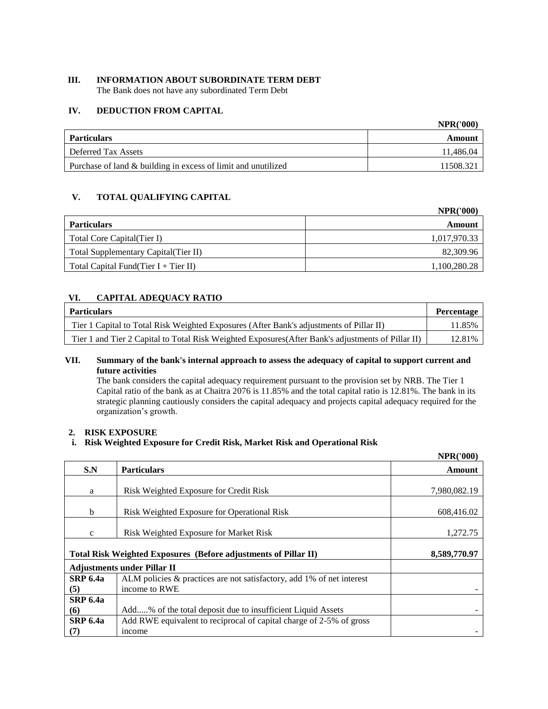# **III. INFORMATION ABOUT SUBORDINATE TERM DEBT**

The Bank does not have any subordinated Term Debt

#### **IV. DEDUCTION FROM CAPITAL**

|                                                               | <b>NPR('000)</b> |
|---------------------------------------------------------------|------------------|
| Particulars                                                   | Amount           |
| Deferred Tax Assets                                           | 11.486.04        |
| Purchase of land & building in excess of limit and unutilized | 11508.321        |

# **V. TOTAL QUALIFYING CAPITAL**

|                                       | <b>NPR('000)</b> |
|---------------------------------------|------------------|
| <b>Particulars</b>                    | Amount           |
| Total Core Capital (Tier I)           | 1,017,970.33     |
| Total Supplementary Capital (Tier II) | 82,309.96        |
| Total Capital Fund(Tier I + Tier II)  | 1,100,280.28     |

# **VI. CAPITAL ADEQUACY RATIO**

| Particulars                                                                                        | <b>Percentage</b> |
|----------------------------------------------------------------------------------------------------|-------------------|
| Tier 1 Capital to Total Risk Weighted Exposures (After Bank's adjustments of Pillar II)            | 11.85%            |
| Tier 1 and Tier 2 Capital to Total Risk Weighted Exposures (After Bank's adjustments of Pillar II) | 12.81%            |

# **VII. Summary of the bank's internal approach to assess the adequacy of capital to support current and future activities**

The bank considers the capital adequacy requirement pursuant to the provision set by NRB. The Tier 1 Capital ratio of the bank as at Chaitra 2076 is 11.85% and the total capital ratio is 12.81%. The bank in its strategic planning cautiously considers the capital adequacy and projects capital adequacy required for the organization's growth.

#### **2. RISK EXPOSURE**

# **i. Risk Weighted Exposure for Credit Risk, Market Risk and Operational Risk**

|                 |                                                                       | <b>NPR('000)</b> |
|-----------------|-----------------------------------------------------------------------|------------------|
| S.N             | <b>Particulars</b>                                                    | Amount           |
| a               | Risk Weighted Exposure for Credit Risk                                | 7,980,082.19     |
| $\mathbf b$     | Risk Weighted Exposure for Operational Risk                           | 608,416.02       |
| $\mathbf{C}$    | Risk Weighted Exposure for Market Risk                                | 1,272.75         |
|                 | Total Risk Weighted Exposures (Before adjustments of Pillar II)       | 8,589,770.97     |
|                 | <b>Adjustments under Pillar II</b>                                    |                  |
| <b>SRP 6.4a</b> | ALM policies & practices are not satisfactory, add 1% of net interest |                  |
| (5)             | income to RWE                                                         |                  |
| <b>SRP 6.4a</b> |                                                                       |                  |
| (6)             | Add% of the total deposit due to insufficient Liquid Assets           |                  |
| <b>SRP 6.4a</b> | Add RWE equivalent to reciprocal of capital charge of 2-5% of gross   |                  |
| (7)             | income                                                                |                  |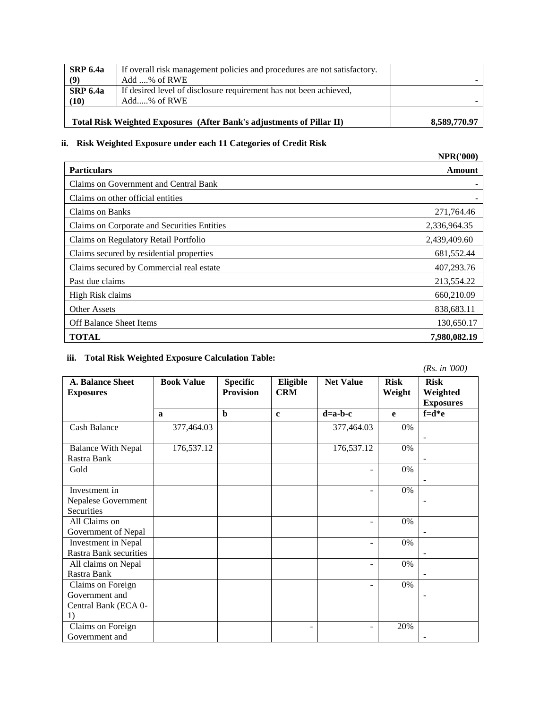|                         | Total Risk Weighted Exposures (After Bank's adjustments of Pillar II)            | 8,589,770.97 |
|-------------------------|----------------------------------------------------------------------------------|--------------|
| <b>SRP 6.4a</b><br>(10) | If desired level of disclosure requirement has not been achieved,<br>Add% of RWE |              |
| (9)                     | Add % of RWE                                                                     |              |
| SRP 6.4a                | If overall risk management policies and procedures are not satisfactory.         |              |

# **ii. Risk Weighted Exposure under each 11 Categories of Credit Risk**

|                                             | <b>NPR('000)</b> |
|---------------------------------------------|------------------|
| <b>Particulars</b>                          | Amount           |
| Claims on Government and Central Bank       |                  |
| Claims on other official entities           |                  |
| Claims on Banks                             | 271,764.46       |
| Claims on Corporate and Securities Entities | 2,336,964.35     |
| Claims on Regulatory Retail Portfolio       | 2,439,409.60     |
| Claims secured by residential properties    | 681,552.44       |
| Claims secured by Commercial real estate    | 407,293.76       |
| Past due claims                             | 213,554.22       |
| High Risk claims                            | 660,210.09       |
| Other Assets                                | 838,683.11       |
| Off Balance Sheet Items                     | 130,650.17       |
| <b>TOTAL</b>                                | 7.980.082.19     |

# **iii. Total Risk Weighted Exposure Calculation Table:**

*(Rs. in '000)*

| <b>A. Balance Sheet</b><br><b>Exposures</b>                       | <b>Book Value</b> | <b>Specific</b><br><b>Provision</b> | Eligible<br><b>CRM</b> | <b>Net Value</b> | <b>Risk</b><br>Weight | <b>Risk</b><br>Weighted |
|-------------------------------------------------------------------|-------------------|-------------------------------------|------------------------|------------------|-----------------------|-------------------------|
|                                                                   |                   |                                     |                        |                  |                       | <b>Exposures</b>        |
|                                                                   | $\mathbf{a}$      | $\mathbf b$                         | $\mathbf{c}$           | $d=a-b-c$        | e                     | $f = d * e$             |
| <b>Cash Balance</b>                                               | 377,464.03        |                                     |                        | 377,464.03       | $0\%$                 |                         |
| <b>Balance With Nepal</b><br>Rastra Bank                          | 176,537.12        |                                     |                        | 176,537.12       | $0\%$                 |                         |
| Gold                                                              |                   |                                     |                        | -                | $0\%$                 |                         |
| Investment in<br>Nepalese Government<br>Securities                |                   |                                     |                        |                  | $0\%$                 |                         |
| All Claims on<br>Government of Nepal                              |                   |                                     |                        |                  | $0\%$                 |                         |
| Investment in Nepal<br><b>Rastra Bank securities</b>              |                   |                                     |                        | -                | 0%                    |                         |
| All claims on Nepal<br>Rastra Bank                                |                   |                                     |                        | L,               | $0\%$                 |                         |
| Claims on Foreign<br>Government and<br>Central Bank (ECA 0-<br>1) |                   |                                     |                        | ÷                | $0\%$                 |                         |
| Claims on Foreign<br>Government and                               |                   |                                     |                        |                  | 20%                   |                         |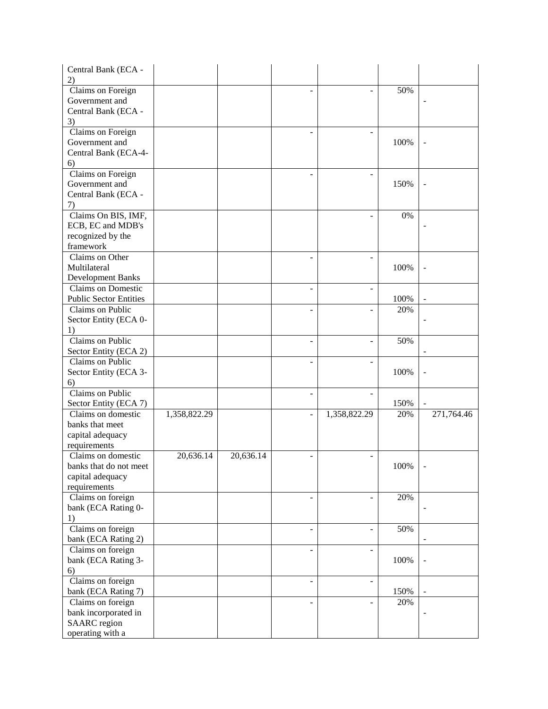| Central Bank (ECA -<br>2)     |              |           |                          |      |                          |
|-------------------------------|--------------|-----------|--------------------------|------|--------------------------|
| Claims on Foreign             |              |           |                          | 50%  |                          |
| Government and                |              |           |                          |      |                          |
| Central Bank (ECA -           |              |           |                          |      |                          |
| 3)                            |              |           |                          |      |                          |
| Claims on Foreign             |              |           |                          |      |                          |
| Government and                |              |           |                          | 100% | $\ddot{\phantom{1}}$     |
| Central Bank (ECA-4-          |              |           |                          |      |                          |
| 6)                            |              |           |                          |      |                          |
| Claims on Foreign             |              |           |                          |      |                          |
| Government and                |              |           |                          | 150% | $\overline{\phantom{m}}$ |
| Central Bank (ECA -           |              |           |                          |      |                          |
| 7)                            |              |           |                          |      |                          |
| Claims On BIS, IMF,           |              |           |                          | 0%   |                          |
| ECB, EC and MDB's             |              |           |                          |      |                          |
| recognized by the             |              |           |                          |      |                          |
| framework                     |              |           |                          |      |                          |
| Claims on Other               |              |           |                          |      |                          |
| Multilateral                  |              |           |                          | 100% |                          |
| Development Banks             |              |           |                          |      |                          |
| <b>Claims on Domestic</b>     |              |           |                          |      |                          |
| <b>Public Sector Entities</b> |              |           |                          | 100% |                          |
| Claims on Public              |              |           |                          | 20%  |                          |
| Sector Entity (ECA 0-         |              |           |                          |      |                          |
| 1)                            |              |           |                          |      |                          |
| Claims on Public              |              |           | $\overline{a}$           | 50%  |                          |
| Sector Entity (ECA 2)         |              |           |                          |      |                          |
| Claims on Public              |              |           |                          |      |                          |
| Sector Entity (ECA 3-         |              |           |                          | 100% | $\overline{\phantom{a}}$ |
| 6)                            |              |           |                          |      |                          |
| Claims on Public              |              |           |                          |      |                          |
| Sector Entity (ECA 7)         |              |           |                          | 150% |                          |
| Claims on domestic            | 1,358,822.29 |           | 1,358,822.29             | 20%  | 271,764.46               |
| banks that meet               |              |           |                          |      |                          |
| capital adequacy              |              |           |                          |      |                          |
| requirements                  |              |           |                          |      |                          |
| Claims on domestic            | 20,636.14    | 20,636.14 |                          |      |                          |
| banks that do not meet        |              |           |                          | 100% |                          |
| capital adequacy              |              |           |                          |      |                          |
| requirements                  |              |           |                          |      |                          |
| Claims on foreign             |              |           |                          | 20%  |                          |
| bank (ECA Rating 0-           |              |           |                          |      |                          |
| 1)                            |              |           |                          |      |                          |
| Claims on foreign             |              |           | $\overline{a}$           | 50%  |                          |
| bank (ECA Rating 2)           |              |           |                          |      |                          |
| Claims on foreign             |              |           | $\blacksquare$           |      |                          |
| bank (ECA Rating 3-           |              |           |                          | 100% | $\overline{\phantom{a}}$ |
| 6)                            |              |           |                          |      |                          |
| Claims on foreign             |              |           | $\overline{\phantom{a}}$ |      |                          |
| bank (ECA Rating 7)           |              |           |                          | 150% |                          |
| Claims on foreign             |              |           |                          | 20%  |                          |
| bank incorporated in          |              |           |                          |      |                          |
| <b>SAARC</b> region           |              |           |                          |      |                          |
| operating with a              |              |           |                          |      |                          |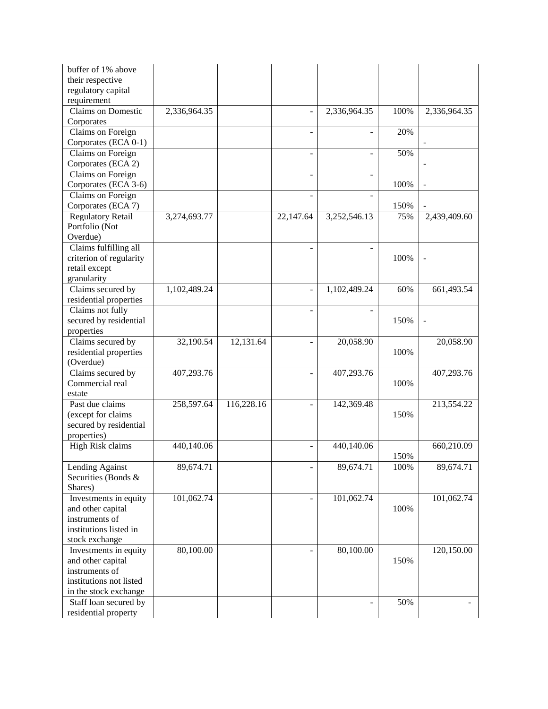| buffer of 1% above<br>their respective         |              |            |           |                          |             |                          |
|------------------------------------------------|--------------|------------|-----------|--------------------------|-------------|--------------------------|
| regulatory capital<br>requirement              |              |            |           |                          |             |                          |
| <b>Claims on Domestic</b><br>Corporates        | 2,336,964.35 |            |           | 2,336,964.35             | 100%        | 2,336,964.35             |
| Claims on Foreign                              |              |            |           |                          | 20%         |                          |
| Corporates (ECA 0-1)<br>Claims on Foreign      |              |            |           |                          | 50%         |                          |
| Corporates (ECA 2)<br>Claims on Foreign        |              |            |           |                          |             |                          |
| Corporates (ECA 3-6)                           |              |            |           |                          | 100%        |                          |
| Claims on Foreign                              |              |            |           |                          |             |                          |
| Corporates (ECA 7)<br><b>Regulatory Retail</b> | 3,274,693.77 |            | 22,147.64 | 3,252,546.13             | 150%<br>75% | 2,439,409.60             |
| Portfolio (Not<br>Overdue)                     |              |            |           |                          |             |                          |
| Claims fulfilling all                          |              |            |           |                          |             |                          |
| criterion of regularity                        |              |            |           |                          | 100%        | $\sim$                   |
| retail except                                  |              |            |           |                          |             |                          |
| granularity<br>Claims secured by               | 1,102,489.24 |            |           | 1,102,489.24             | 60%         | 661,493.54               |
| residential properties                         |              |            |           |                          |             |                          |
| Claims not fully                               |              |            |           |                          |             |                          |
| secured by residential                         |              |            |           |                          | 150%        | $\overline{\phantom{a}}$ |
| properties                                     |              |            |           |                          |             |                          |
| Claims secured by                              | 32,190.54    | 12,131.64  |           | 20,058.90                |             | 20,058.90                |
| residential properties                         |              |            |           |                          | 100%        |                          |
| (Overdue)                                      |              |            |           |                          |             |                          |
| Claims secured by<br>Commercial real           | 407,293.76   |            |           | 407,293.76               | 100%        | 407,293.76               |
| estate                                         |              |            |           |                          |             |                          |
| Past due claims                                | 258,597.64   | 116,228.16 |           | 142,369.48               |             | 213,554.22               |
| (except for claims                             |              |            |           |                          | 150%        |                          |
| secured by residential                         |              |            |           |                          |             |                          |
| properties)                                    |              |            |           |                          |             |                          |
| High Risk claims                               | 440,140.06   |            |           | 440,140.06               | 150%        | 660,210.09               |
| Lending Against                                | 89,674.71    |            | -         | 89,674.71                | 100%        | 89,674.71                |
| Securities (Bonds &                            |              |            |           |                          |             |                          |
| Shares)                                        |              |            |           |                          |             |                          |
| Investments in equity                          | 101,062.74   |            |           | 101,062.74               |             | 101,062.74               |
| and other capital                              |              |            |           |                          | 100%        |                          |
| instruments of                                 |              |            |           |                          |             |                          |
| institutions listed in                         |              |            |           |                          |             |                          |
| stock exchange                                 |              |            |           |                          |             |                          |
| Investments in equity                          | 80,100.00    |            |           | 80,100.00                |             | 120,150.00               |
| and other capital<br>instruments of            |              |            |           |                          | 150%        |                          |
| institutions not listed                        |              |            |           |                          |             |                          |
| in the stock exchange                          |              |            |           |                          |             |                          |
| Staff loan secured by                          |              |            |           | $\overline{\phantom{a}}$ | 50%         | $\sim$                   |
| residential property                           |              |            |           |                          |             |                          |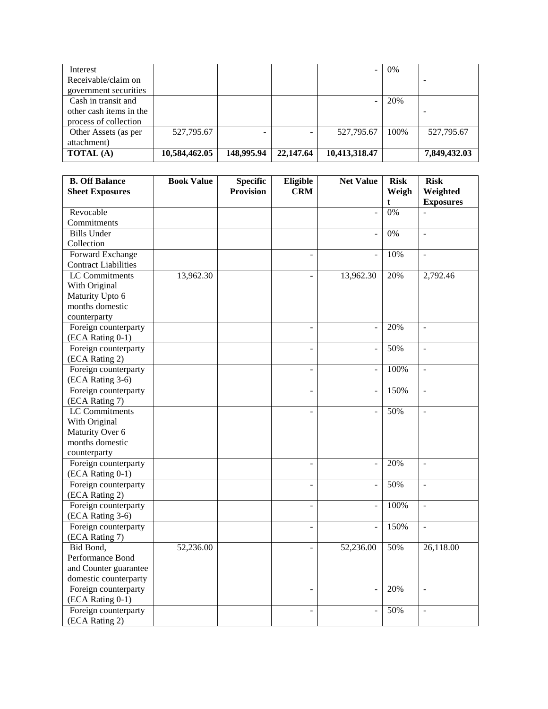| Interest                |               |            |           | -                        | $0\%$ |              |
|-------------------------|---------------|------------|-----------|--------------------------|-------|--------------|
| Receivable/claim on     |               |            |           |                          |       |              |
| government securities   |               |            |           |                          |       |              |
| Cash in transit and     |               |            |           | $\overline{\phantom{0}}$ | 20%   |              |
| other cash items in the |               |            |           |                          |       |              |
| process of collection   |               |            |           |                          |       |              |
| Other Assets (as per    | 527,795.67    |            |           | 527,795.67               | 100%  | 527,795.67   |
| attachment)             |               |            |           |                          |       |              |
| <b>TOTAL</b> (A)        | 10,584,462.05 | 148,995.94 | 22,147.64 | 10,413,318.47            |       | 7,849,432.03 |

| <b>B. Off Balance</b>       | <b>Book Value</b> | <b>Specific</b>  | Eligible                 | <b>Net Value</b>         | <b>Risk</b> | <b>Risk</b>              |
|-----------------------------|-------------------|------------------|--------------------------|--------------------------|-------------|--------------------------|
| <b>Sheet Exposures</b>      |                   | <b>Provision</b> | <b>CRM</b>               |                          | Weigh       | Weighted                 |
|                             |                   |                  |                          |                          | t           | <b>Exposures</b>         |
| Revocable                   |                   |                  |                          | $\overline{a}$           | 0%          | $\overline{a}$           |
| Commitments                 |                   |                  |                          |                          |             |                          |
| <b>Bills Under</b>          |                   |                  |                          | $\overline{a}$           | 0%          | $\overline{\phantom{a}}$ |
| Collection                  |                   |                  |                          |                          |             |                          |
| Forward Exchange            |                   |                  |                          | $\overline{a}$           | 10%         | $\overline{\phantom{a}}$ |
| <b>Contract Liabilities</b> |                   |                  |                          |                          |             |                          |
| <b>LC</b> Commitments       | 13,962.30         |                  |                          | 13,962.30                | 20%         | 2,792.46                 |
| With Original               |                   |                  |                          |                          |             |                          |
| Maturity Upto 6             |                   |                  |                          |                          |             |                          |
| months domestic             |                   |                  |                          |                          |             |                          |
| counterparty                |                   |                  |                          |                          |             |                          |
| Foreign counterparty        |                   |                  |                          | $\overline{\phantom{a}}$ | 20%         | $\overline{\phantom{a}}$ |
| (ECA Rating 0-1)            |                   |                  |                          |                          |             |                          |
| Foreign counterparty        |                   |                  |                          | $\overline{a}$           | 50%         | $\mathbf{r}$             |
| (ECA Rating 2)              |                   |                  |                          |                          |             |                          |
| Foreign counterparty        |                   |                  | $\overline{a}$           | $\frac{1}{2}$            | 100%        | $\mathbb{Z}^2$           |
| (ECA Rating 3-6)            |                   |                  |                          |                          |             |                          |
| Foreign counterparty        |                   |                  | $\overline{a}$           | $\overline{a}$           | 150%        | $\overline{a}$           |
| (ECA Rating 7)              |                   |                  |                          |                          |             |                          |
| <b>LC</b> Commitments       |                   |                  |                          |                          | 50%         | $\blacksquare$           |
| With Original               |                   |                  |                          |                          |             |                          |
| Maturity Over 6             |                   |                  |                          |                          |             |                          |
| months domestic             |                   |                  |                          |                          |             |                          |
| counterparty                |                   |                  |                          |                          |             |                          |
| Foreign counterparty        |                   |                  | $\overline{\phantom{a}}$ | $\overline{a}$           | 20%         | $\overline{a}$           |
| (ECA Rating 0-1)            |                   |                  |                          |                          |             |                          |
| Foreign counterparty        |                   |                  |                          | $\frac{1}{2}$            | 50%         | $\overline{a}$           |
| (ECA Rating 2)              |                   |                  |                          |                          |             |                          |
| Foreign counterparty        |                   |                  | $\overline{a}$           | $\frac{1}{2}$            | 100%        | $\overline{a}$           |
| (ECA Rating 3-6)            |                   |                  |                          |                          |             |                          |
| Foreign counterparty        |                   |                  | $\overline{\phantom{a}}$ | ÷,                       | 150%        | $\mathbb{Z}^2$           |
| (ECA Rating 7)              |                   |                  |                          |                          |             |                          |
| Bid Bond,                   | 52,236.00         |                  |                          | 52,236.00                | 50%         | 26,118.00                |
| Performance Bond            |                   |                  |                          |                          |             |                          |
| and Counter guarantee       |                   |                  |                          |                          |             |                          |
| domestic counterparty       |                   |                  |                          |                          |             |                          |
| Foreign counterparty        |                   |                  |                          |                          | 20%         | $\overline{a}$           |
| (ECA Rating 0-1)            |                   |                  |                          |                          |             |                          |
| Foreign counterparty        |                   |                  |                          |                          | 50%         | $\overline{a}$           |
| (ECA Rating 2)              |                   |                  |                          |                          |             |                          |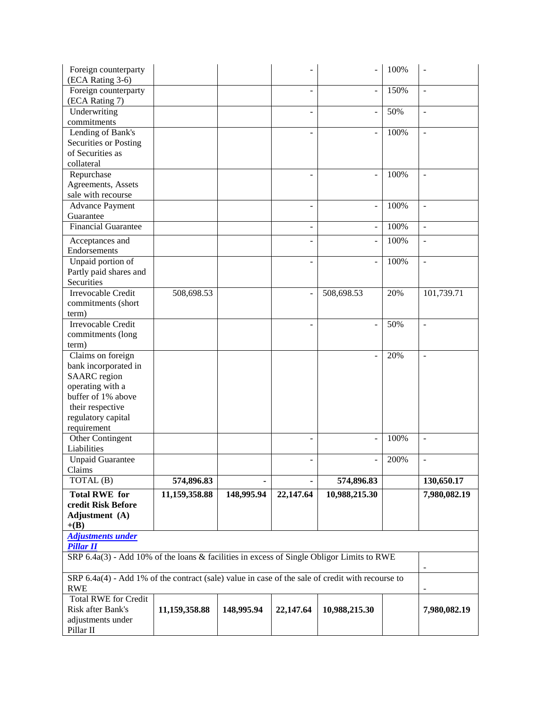| Foreign counterparty<br>(ECA Rating 3-6)                                                         |               |            |                          |                          | 100% |                          |
|--------------------------------------------------------------------------------------------------|---------------|------------|--------------------------|--------------------------|------|--------------------------|
| Foreign counterparty<br>(ECA Rating 7)                                                           |               |            |                          | $\overline{\phantom{a}}$ | 150% | $\overline{\phantom{a}}$ |
| Underwriting<br>commitments                                                                      |               |            | $\overline{\phantom{a}}$ | $\overline{\phantom{a}}$ | 50%  | $\blacksquare$           |
| Lending of Bank's                                                                                |               |            |                          |                          | 100% | $\overline{\phantom{a}}$ |
| Securities or Posting                                                                            |               |            |                          |                          |      |                          |
| of Securities as                                                                                 |               |            |                          |                          |      |                          |
| collateral                                                                                       |               |            |                          |                          |      |                          |
| Repurchase                                                                                       |               |            |                          |                          | 100% | $\overline{a}$           |
| Agreements, Assets                                                                               |               |            |                          |                          |      |                          |
| sale with recourse                                                                               |               |            |                          |                          |      |                          |
| <b>Advance Payment</b>                                                                           |               |            |                          | ÷,                       | 100% | $\sim$                   |
| Guarantee<br><b>Financial Guarantee</b>                                                          |               |            |                          |                          | 100% |                          |
|                                                                                                  |               |            |                          | ÷,                       |      | $\mathbb{L}$             |
| Acceptances and                                                                                  |               |            |                          | $\overline{a}$           | 100% | $\blacksquare$           |
| Endorsements                                                                                     |               |            |                          |                          |      |                          |
| Unpaid portion of                                                                                |               |            |                          |                          | 100% | $\overline{\phantom{a}}$ |
| Partly paid shares and                                                                           |               |            |                          |                          |      |                          |
| Securities                                                                                       |               |            |                          |                          |      |                          |
| <b>Irrevocable Credit</b>                                                                        | 508,698.53    |            |                          | 508,698.53               | 20%  | 101,739.71               |
| commitments (short<br>term)                                                                      |               |            |                          |                          |      |                          |
| <b>Irrevocable Credit</b>                                                                        |               |            |                          |                          | 50%  | ÷,                       |
| commitments (long                                                                                |               |            |                          |                          |      |                          |
| term)                                                                                            |               |            |                          |                          |      |                          |
| Claims on foreign                                                                                |               |            |                          |                          | 20%  | $\overline{\phantom{a}}$ |
| bank incorporated in                                                                             |               |            |                          |                          |      |                          |
| <b>SAARC</b> region                                                                              |               |            |                          |                          |      |                          |
| operating with a                                                                                 |               |            |                          |                          |      |                          |
| buffer of 1% above                                                                               |               |            |                          |                          |      |                          |
| their respective                                                                                 |               |            |                          |                          |      |                          |
| regulatory capital                                                                               |               |            |                          |                          |      |                          |
| requirement                                                                                      |               |            |                          |                          |      |                          |
| Other Contingent                                                                                 |               |            |                          | L,                       | 100% | $\overline{a}$           |
| Liabilities                                                                                      |               |            |                          |                          |      |                          |
| <b>Unpaid Guarantee</b>                                                                          |               |            | $\overline{\phantom{0}}$ | $\overline{\phantom{0}}$ | 200% | $\blacksquare$           |
| Claims                                                                                           |               |            |                          |                          |      |                          |
| TOTAL (B)                                                                                        | 574,896.83    |            |                          | 574,896.83               |      | 130,650.17               |
| <b>Total RWE for</b>                                                                             | 11,159,358.88 | 148,995.94 | 22,147.64                | 10,988,215.30            |      | 7,980,082.19             |
| credit Risk Before                                                                               |               |            |                          |                          |      |                          |
| Adjustment (A)                                                                                   |               |            |                          |                          |      |                          |
| $+(B)$                                                                                           |               |            |                          |                          |      |                          |
| <b>Adjustments under</b><br><b>Pillar II</b>                                                     |               |            |                          |                          |      |                          |
| SRP 6.4a(3) - Add 10% of the loans & facilities in excess of Single Obligor Limits to RWE        |               |            |                          |                          |      |                          |
|                                                                                                  |               |            |                          |                          |      |                          |
| SRP 6.4a(4) - Add 1% of the contract (sale) value in case of the sale of credit with recourse to |               |            |                          |                          |      |                          |
| <b>RWE</b>                                                                                       |               |            |                          |                          |      |                          |
| <b>Total RWE for Credit</b>                                                                      |               |            |                          |                          |      |                          |
| Risk after Bank's                                                                                | 11,159,358.88 | 148,995.94 | 22,147.64                | 10,988,215.30            |      | 7,980,082.19             |
| adjustments under<br>Pillar II                                                                   |               |            |                          |                          |      |                          |
|                                                                                                  |               |            |                          |                          |      |                          |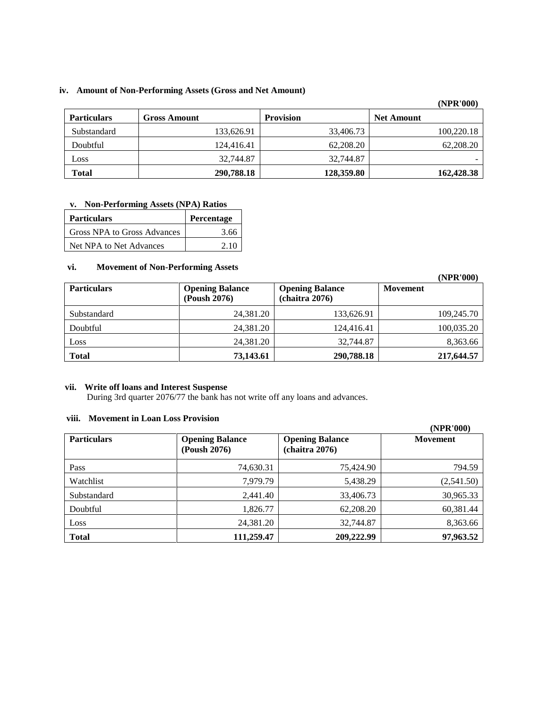# **iv. Amount of Non-Performing Assets (Gross and Net Amount)**

|                    |                     |                  | (INPR UUU)        |
|--------------------|---------------------|------------------|-------------------|
| <b>Particulars</b> | <b>Gross Amount</b> | <b>Provision</b> | <b>Net Amount</b> |
| Substandard        | 133,626.91          | 33,406.73        | 100,220.18        |
| Doubtful           | 124,416.41          | 62,208.20        | 62,208.20         |
| Loss               | 32,744.87           | 32,744.87        | -                 |
| <b>Total</b>       | 290,788.18          | 128,359.80       | 162,428.38        |

# **v. Non-Performing Assets (NPA) Ratios**

| <b>Particulars</b>          | Percentage |
|-----------------------------|------------|
| Gross NPA to Gross Advances | 3.66       |
| Net NPA to Net Advances     | 2.10       |

#### **vi. Movement of Non-Performing Assets**

|                    |                                        |                                          | (NPR'000)       |
|--------------------|----------------------------------------|------------------------------------------|-----------------|
| <b>Particulars</b> | <b>Opening Balance</b><br>(Poush 2076) | <b>Opening Balance</b><br>(chaitra 2076) | <b>Movement</b> |
| Substandard        | 24,381.20                              | 133,626.91                               | 109,245.70      |
| Doubtful           | 24,381.20                              | 124,416.41                               | 100,035.20      |
| Loss               | 24,381.20                              | 32,744.87                                | 8,363.66        |
| <b>Total</b>       | 73,143.61                              | 290,788.18                               | 217,644.57      |

# **vii. Write off loans and Interest Suspense**

During 3rd quarter 2076/77 the bank has not write off any loans and advances.

#### **viii. Movement in Loan Loss Provision**

|                    |                                        |                                          | (NPR'000)       |
|--------------------|----------------------------------------|------------------------------------------|-----------------|
| <b>Particulars</b> | <b>Opening Balance</b><br>(Poush 2076) | <b>Opening Balance</b><br>(chaitra 2076) | <b>Movement</b> |
| Pass               | 74,630.31                              | 75,424.90                                | 794.59          |
| Watchlist          | 7,979.79                               | 5,438.29                                 | (2,541.50)      |
| Substandard        | 2,441.40                               | 33,406.73                                | 30,965.33       |
| Doubtful           | 1,826.77                               | 62,208.20                                | 60,381.44       |
| Loss               | 24,381.20                              | 32,744.87                                | 8,363.66        |
| <b>Total</b>       | 111,259.47                             | 209,222.99                               | 97,963.52       |

**(NPR'000)**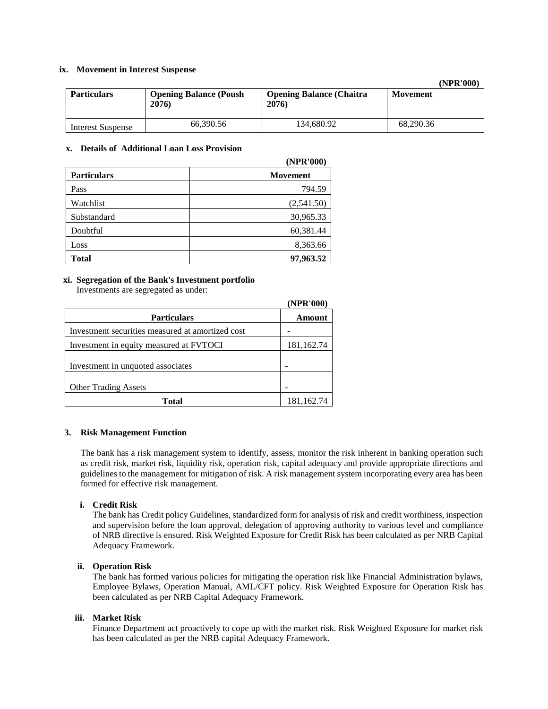#### **ix. Movement in Interest Suspense**

**(NPR'000)**

| <b>Particulars</b>       | <b>Opening Balance (Poush</b><br>2076) | <b>Opening Balance (Chaitra)</b><br>2076) | <b>Movement</b> |
|--------------------------|----------------------------------------|-------------------------------------------|-----------------|
| <b>Interest Suspense</b> | 66.390.56                              | 134,680.92                                | 68.290.36       |

#### **x. Details of Additional Loan Loss Provision**

|                    | (NPR'000)       |
|--------------------|-----------------|
| <b>Particulars</b> | <b>Movement</b> |
| Pass               | 794.59          |
| Watchlist          | (2,541.50)      |
| Substandard        | 30,965.33       |
| Doubtful           | 60,381.44       |
| Loss               | 8,363.66        |
| Total              | 97,963.52       |

# **xi. Segregation of the Bank's Investment portfolio**

Investments are segregated as under:

|                                                  | (NPR'000)  |
|--------------------------------------------------|------------|
| <b>Particulars</b>                               | Amount     |
| Investment securities measured at amortized cost |            |
| Investment in equity measured at FVTOCI          | 181,162.74 |
| Investment in unquoted associates                |            |
| <b>Other Trading Assets</b>                      |            |
| Total                                            | 181,162.74 |

#### **3. Risk Management Function**

The bank has a risk management system to identify, assess, monitor the risk inherent in banking operation such as credit risk, market risk, liquidity risk, operation risk, capital adequacy and provide appropriate directions and guidelines to the management for mitigation of risk. A risk management system incorporating every area has been formed for effective risk management.

#### **i. Credit Risk**

The bank has Credit policy Guidelines, standardized form for analysis of risk and credit worthiness, inspection and supervision before the loan approval, delegation of approving authority to various level and compliance of NRB directive is ensured. Risk Weighted Exposure for Credit Risk has been calculated as per NRB Capital Adequacy Framework.

#### **ii. Operation Risk**

The bank has formed various policies for mitigating the operation risk like Financial Administration bylaws, Employee Bylaws, Operation Manual, AML/CFT policy. Risk Weighted Exposure for Operation Risk has been calculated as per NRB Capital Adequacy Framework.

#### **iii. Market Risk**

Finance Department act proactively to cope up with the market risk. Risk Weighted Exposure for market risk has been calculated as per the NRB capital Adequacy Framework.